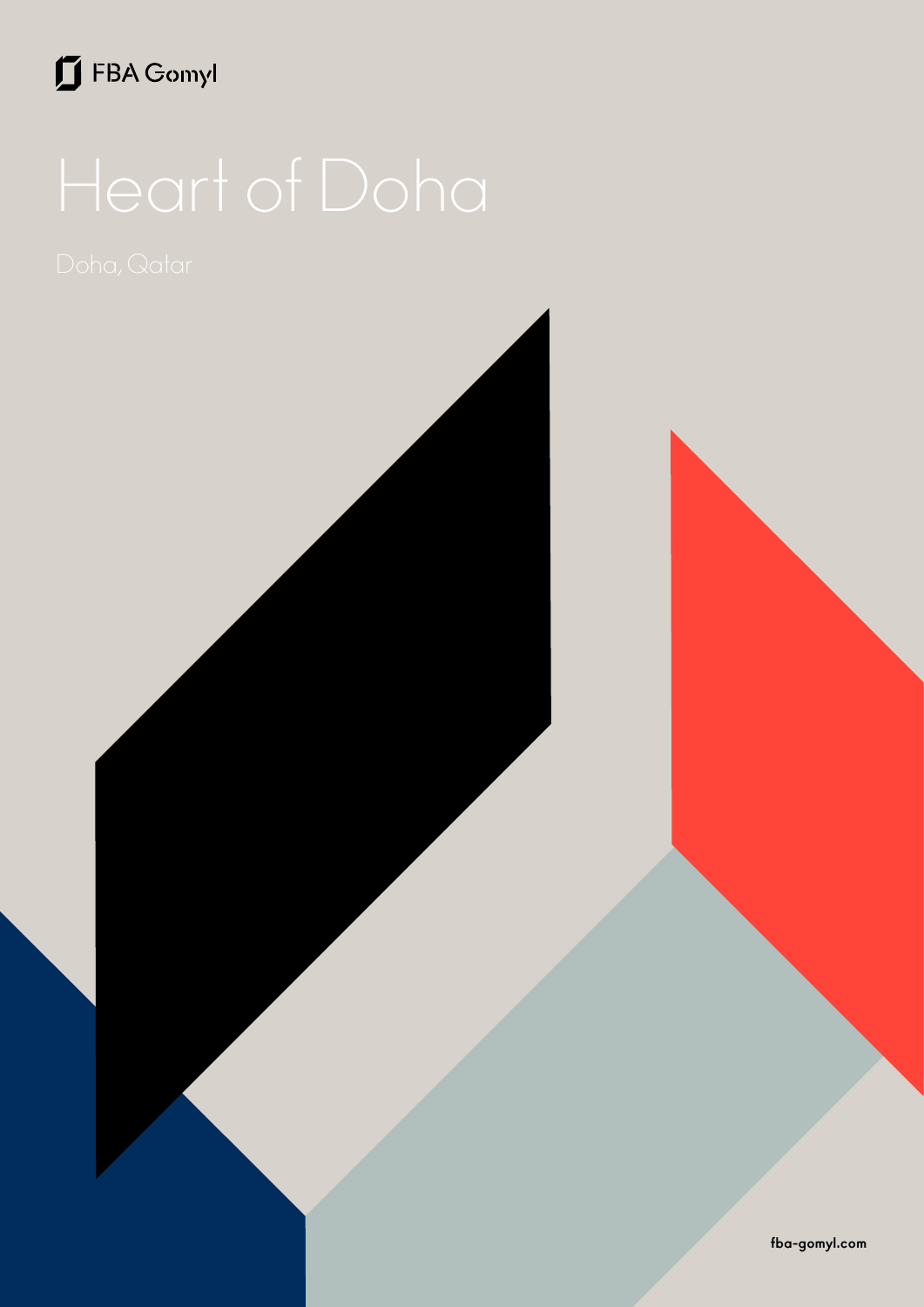## FBA Gomyl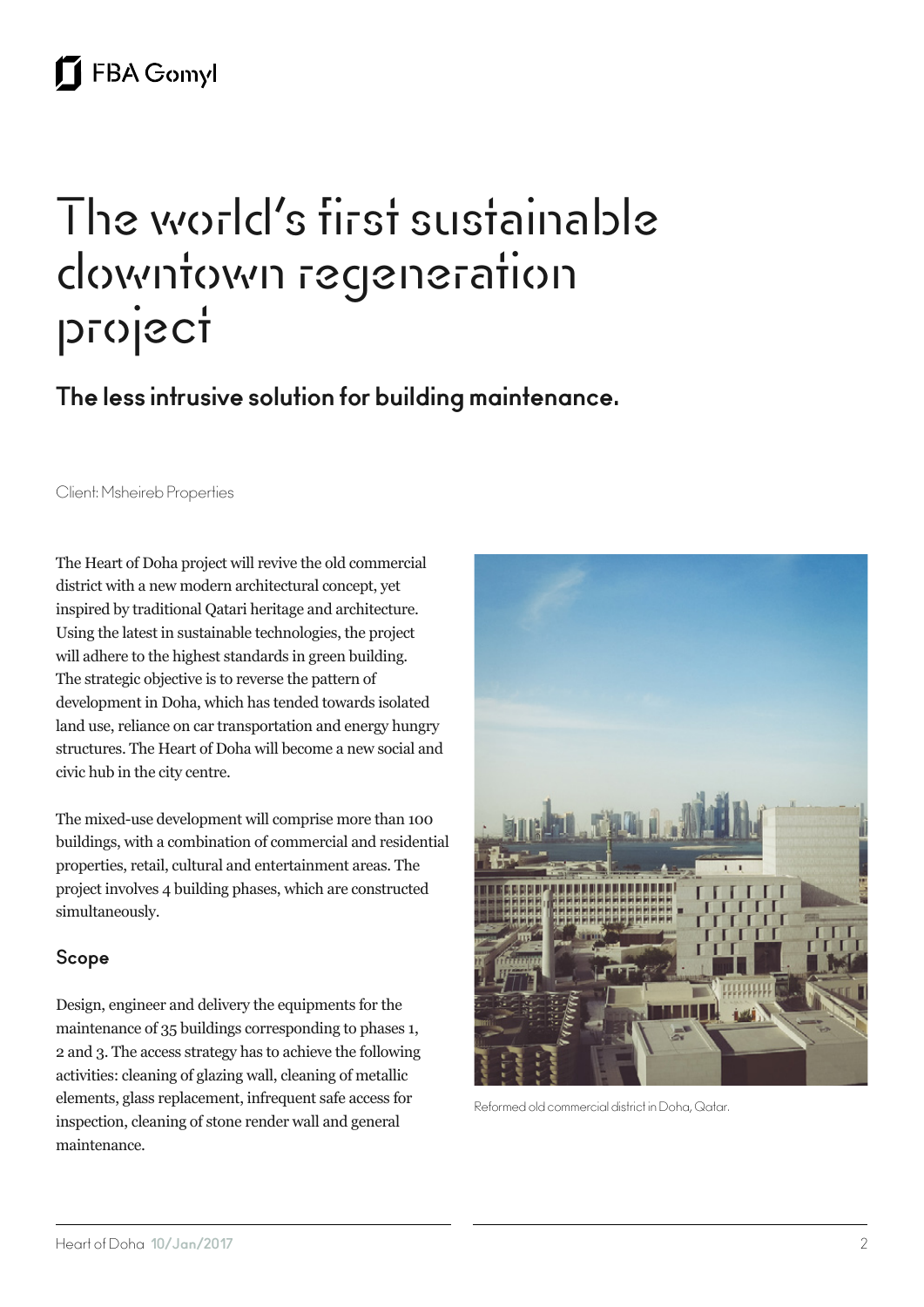# The world's first sustainable downtown regeneration project

**The less intrusive solution for building maintenance.**

Client: Msheireb Properties

The Heart of Doha project will revive the old commercial district with a new modern architectural concept, yet inspired by traditional Qatari heritage and architecture. Using the latest in sustainable technologies, the project will adhere to the highest standards in green building. The strategic objective is to reverse the pattern of development in Doha, which has tended towards isolated land use, reliance on car transportation and energy hungry structures. The Heart of Doha will become a new social and civic hub in the city centre.

The mixed-use development will comprise more than 100 buildings, with a combination of commercial and residential properties, retail, cultural and entertainment areas. The project involves 4 building phases, which are constructed simultaneously.

#### **Scope**

Design, engineer and delivery the equipments for the maintenance of 35 buildings corresponding to phases 1, 2 and 3. The access strategy has to achieve the following activities: cleaning of glazing wall, cleaning of metallic elements, glass replacement, infrequent safe access for inspection, cleaning of stone render wall and general maintenance.



Reformed old commercial district in Doha, Qatar.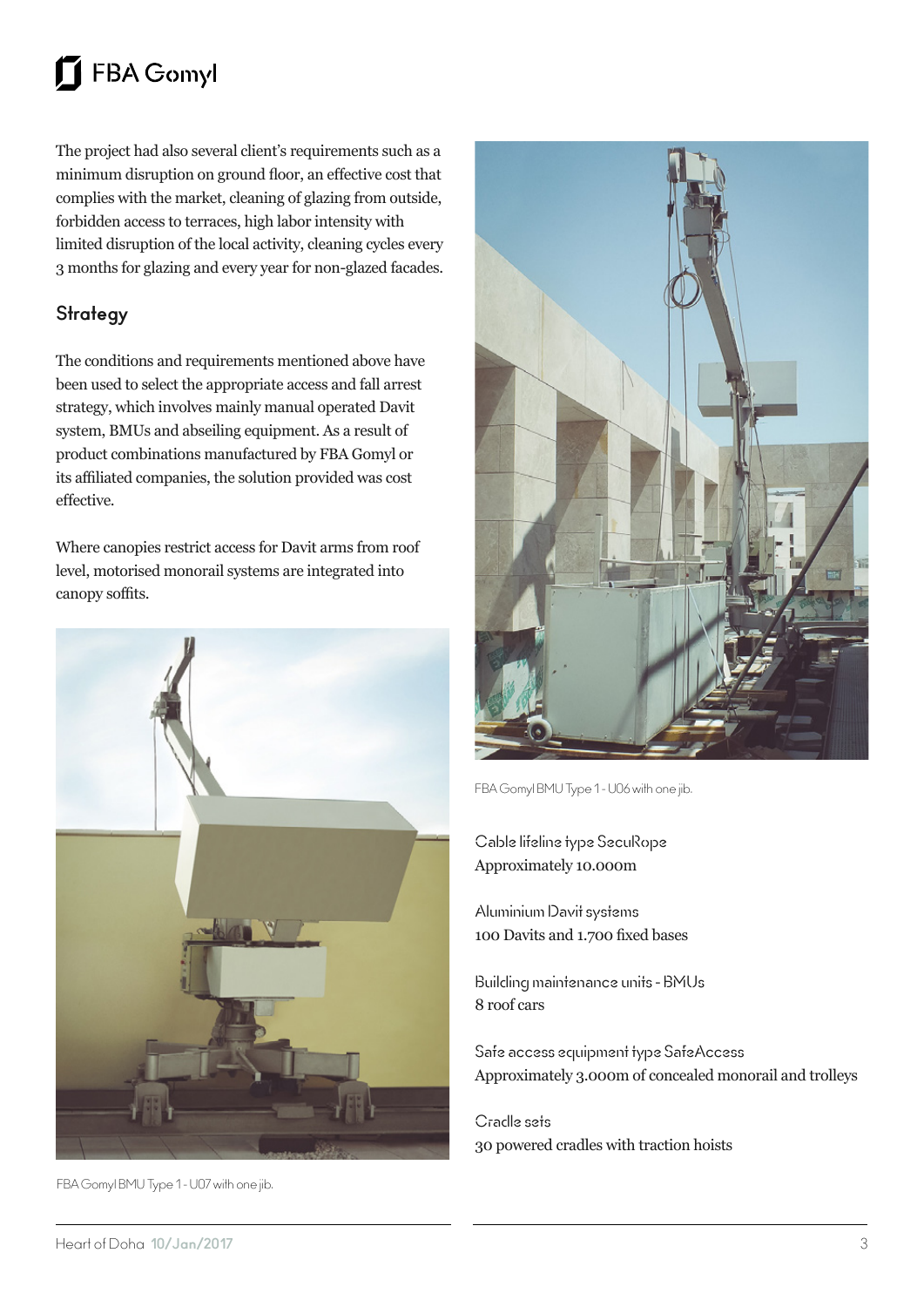#### **FBA Gomyl**  $\mathbf{\Pi}$

The project had also several client's requirements such as a minimum disruption on ground floor, an effective cost that complies with the market, cleaning of glazing from outside, forbidden access to terraces, high labor intensity with limited disruption of the local activity, cleaning cycles every 3 months for glazing and every year for non-glazed facades.

### **Strategy**

The conditions and requirements mentioned above have been used to select the appropriate access and fall arrest strategy, which involves mainly manual operated Davit system, BMUs and abseiling equipment. As a result of product combinations manufactured by FBA Gomyl or its affiliated companies, the solution provided was cost effective.

Where canopies restrict access for Davit arms from roof level, motorised monorail systems are integrated into canopy soffits.



FBA Gomyl BMU Type 1 - U07 with one jib.



FBA Gomyl BMU Type 1 - U06 with one jib.

Cable lifeline type SecuRope Approximately 10.000m

Aluminium Davit systems 100 Davits and 1.700 fixed bases

Building maintenance units - BMUs 8 roof cars

Safe access equipment type SafeAccess Approximately 3.000m of concealed monorail and trolleys

Cradle sets 30 powered cradles with traction hoists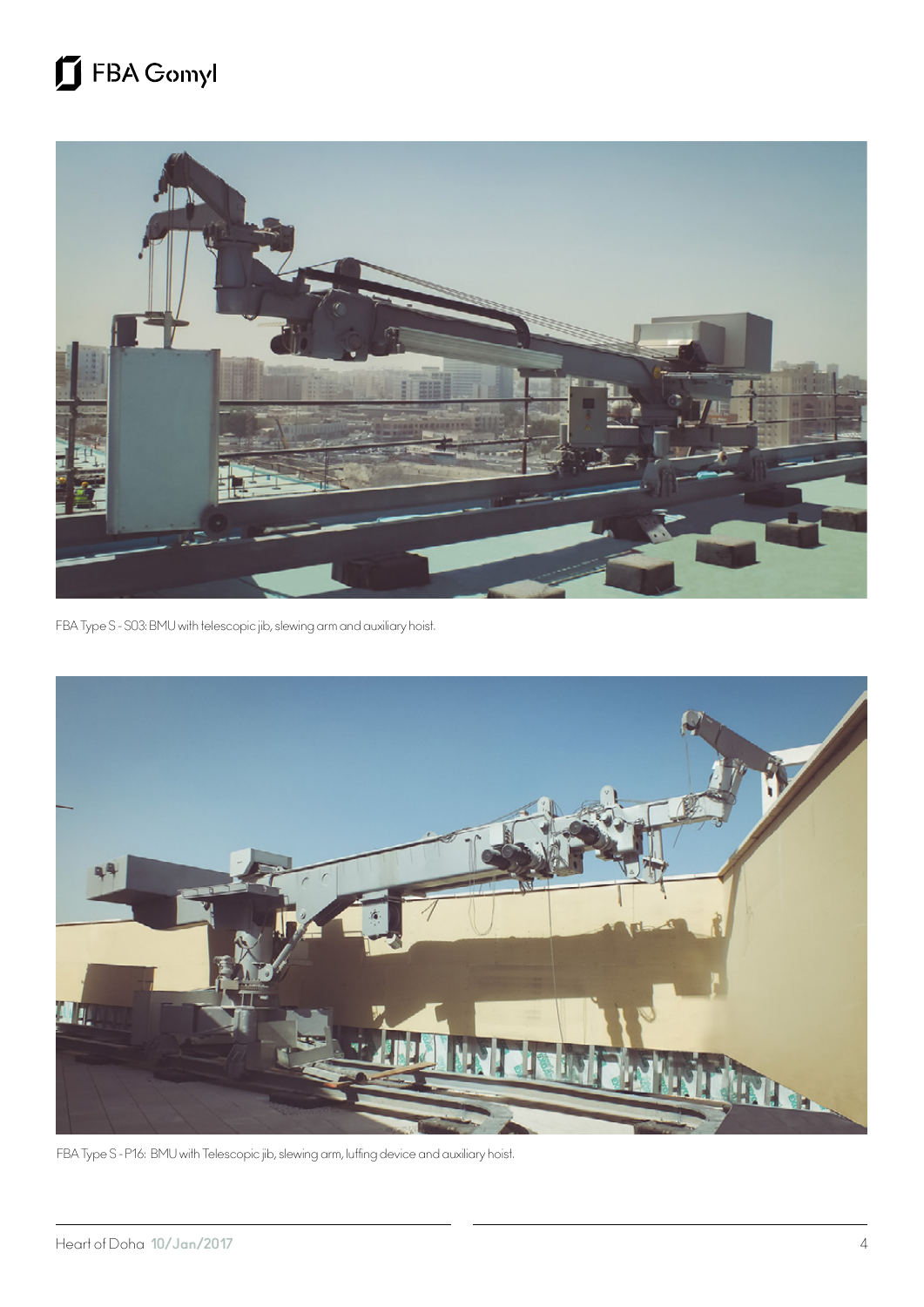## FBA Gomyl



FBA Type S - S03: BMU with telescopic jib, slewing arm and auxiliary hoist.



FBA Type S - P16: BMU with Telescopic jib, slewing arm, luffing device and auxiliary hoist.